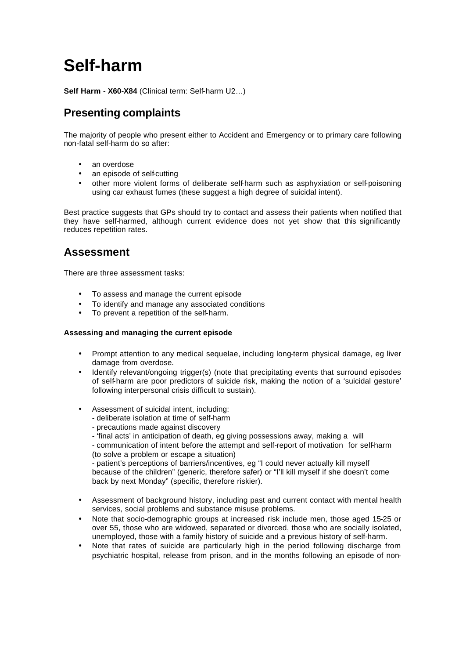# **Self-harm**

**Self Harm - X60-X84** (Clinical term: Self-harm U2…)

## **Presenting complaints**

The majority of people who present either to Accident and Emergency or to primary care following non-fatal self-harm do so after:

- an overdose
- an episode of self-cutting
- other more violent forms of deliberate self-harm such as asphyxiation or self-poisoning using car exhaust fumes (these suggest a high degree of suicidal intent).

Best practice suggests that GPs should try to contact and assess their patients when notified that they have self-harmed, although current evidence does not yet show that this significantly reduces repetition rates.

### **Assessment**

There are three assessment tasks:

- To assess and manage the current episode
- To identify and manage any associated conditions
- To prevent a repetition of the self-harm.

#### **Assessing and managing the current episode**

- Prompt attention to any medical sequelae, including long-term physical damage, eg liver damage from overdose.
- Identify relevant/ongoing trigger(s) (note that precipitating events that surround episodes of self-harm are poor predictors of suicide risk, making the notion of a 'suicidal gesture' following interpersonal crisis difficult to sustain).
- Assessment of suicidal intent, including:
	- deliberate isolation at time of self-harm
	- precautions made against discovery
	- 'final acts' in anticipation of death, eg giving possessions away, making a will
	- communication of intent before the attempt and self-report of motivation for self-harm (to solve a problem or escape a situation)

- patient's perceptions of barriers/incentives, eg "I could never actually kill myself because of the children" (generic, therefore safer) or "I'll kill myself if she doesn't come back by next Monday" (specific, therefore riskier).

- Assessment of background history, including past and current contact with mental health services, social problems and substance misuse problems.
- Note that socio-demographic groups at increased risk include men, those aged 15-25 or over 55, those who are widowed, separated or divorced, those who are socially isolated, unemployed, those with a family history of suicide and a previous history of self-harm.
- Note that rates of suicide are particularly high in the period following discharge from psychiatric hospital, release from prison, and in the months following an episode of non-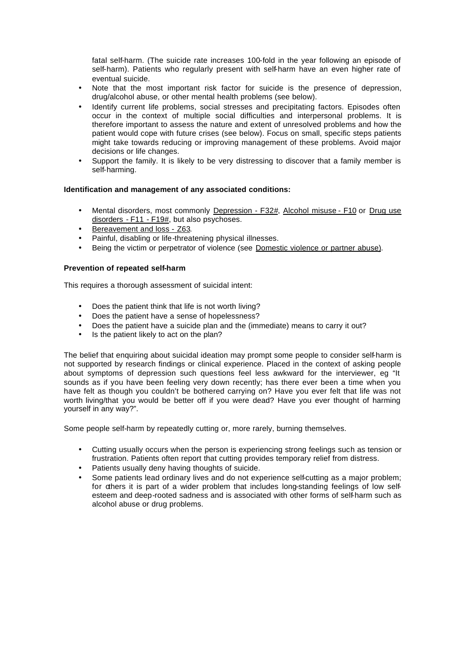fatal self-harm. (The suicide rate increases 100-fold in the year following an episode of self-harm). Patients who regularly present with self-harm have an even higher rate of eventual suicide.

- Note that the most important risk factor for suicide is the presence of depression, drug/alcohol abuse, or other mental health problems (see below).
- Identify current life problems, social stresses and precipitating factors. Episodes often occur in the context of multiple social difficulties and interpersonal problems. It is therefore important to assess the nature and extent of unresolved problems and how the patient would cope with future crises (see below). Focus on small, specific steps patients might take towards reducing or improving management of these problems. Avoid major decisions or life changes.
- Support the family. It is likely to be very distressing to discover that a family member is self-harming.

#### **Identification and management of any associated conditions:**

- Mental disorders, most commonly Depression F32#, Alcohol misuse F10 or Drug use disorders - F11 - F19#, but also psychoses.
- Bereavement and loss Z63.
- Painful, disabling or life-threatening physical illnesses.
- Being the victim or perpetrator of violence (see Domestic violence or partner abuse).

#### **Prevention of repeated self-harm**

This requires a thorough assessment of suicidal intent:

- Does the patient think that life is not worth living?
- Does the patient have a sense of hopelessness?
- Does the patient have a suicide plan and the (immediate) means to carry it out?
- Is the patient likely to act on the plan?

The belief that enquiring about suicidal ideation may prompt some people to consider self-harm is not supported by research findings or clinical experience. Placed in the context of asking people about symptoms of depression such questions feel less awkward for the interviewer, eg "It sounds as if you have been feeling very down recently; has there ever been a time when you have felt as though you couldn't be bothered carrying on? Have you ever felt that life was not worth living/that you would be better off if you were dead? Have you ever thought of harming yourself in any way?".

Some people self-harm by repeatedly cutting or, more rarely, burning themselves.

- Cutting usually occurs when the person is experiencing strong feelings such as tension or frustration. Patients often report that cutting provides temporary relief from distress.
- Patients usually deny having thoughts of suicide.
- Some patients lead ordinary lives and do not experience self-cutting as a major problem; for others it is part of a wider problem that includes long-standing feelings of low selfesteem and deep-rooted sadness and is associated with other forms of self-harm such as alcohol abuse or drug problems.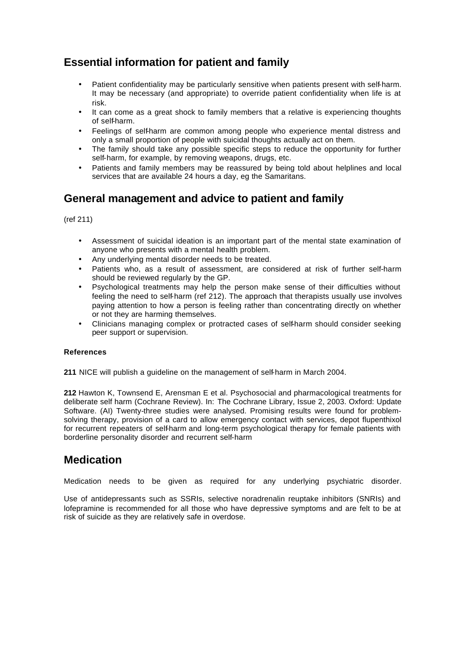## **Essential information for patient and family**

- Patient confidentiality may be particularly sensitive when patients present with self-harm. It may be necessary (and appropriate) to override patient confidentiality when life is at risk.
- It can come as a great shock to family members that a relative is experiencing thoughts of self-harm.
- Feelings of self-harm are common among people who experience mental distress and only a small proportion of people with suicidal thoughts actually act on them.
- The family should take any possible specific steps to reduce the opportunity for further self-harm, for example, by removing weapons, drugs, etc.
- Patients and family members may be reassured by being told about helplines and local services that are available 24 hours a day, eg the Samaritans.

### **General management and advice to patient and family**

(ref 211)

- Assessment of suicidal ideation is an important part of the mental state examination of anyone who presents with a mental health problem.
- Any underlying mental disorder needs to be treated.
- Patients who, as a result of assessment, are considered at risk of further self-harm should be reviewed regularly by the GP.
- Psychological treatments may help the person make sense of their difficulties without feeling the need to self-harm (ref 212). The approach that therapists usually use involves paying attention to how a person is feeling rather than concentrating directly on whether or not they are harming themselves.
- Clinicians managing complex or protracted cases of self-harm should consider seeking peer support or supervision.

#### **References**

**211** NICE will publish a guideline on the management of self-harm in March 2004.

**212** Hawton K, Townsend E, Arensman E et al. Psychosocial and pharmacological treatments for deliberate self harm (Cochrane Review). In: The Cochrane Library, Issue 2, 2003. Oxford: Update Software. (AI) Twenty-three studies were analysed. Promising results were found for problemsolving therapy, provision of a card to allow emergency contact with services, depot flupenthixol for recurrent repeaters of self-harm and long-term psychological therapy for female patients with borderline personality disorder and recurrent self-harm

### **Medication**

Medication needs to be given as required for any underlying psychiatric disorder.

Use of antidepressants such as SSRIs, selective noradrenalin reuptake inhibitors (SNRIs) and lofepramine is recommended for all those who have depressive symptoms and are felt to be at risk of suicide as they are relatively safe in overdose.